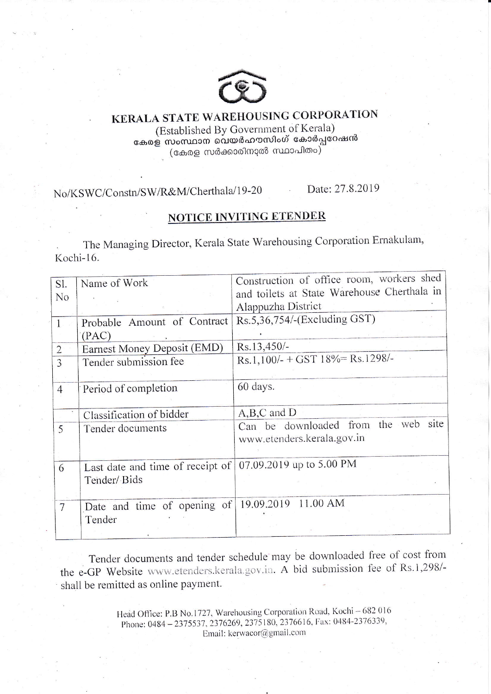

## KERALA STATE WAREHOUSING CORPORATION (Established By Government of Kerala) കേരള സംസ്ഥാന വെയർഹൗസിംഗ് കോർപ്പറേഷൻ

(കേരള സർക്കാരിനാൽ സ്ഥാപിതം)

No/KSWC/Constn/SW/R&M/Cherthala/19-20

Date: 27.8.2019

## NOTICE INVITING ETENDER

The Managing Director, Kerala State Warehousing Corporation Ernakulam, Kochi-16.

| Sl.            | Name of Work                                                | Construction of office room, workers shed   |  |  |  |
|----------------|-------------------------------------------------------------|---------------------------------------------|--|--|--|
| N <sub>o</sub> |                                                             | and toilets at State Warehouse Cherthala in |  |  |  |
|                |                                                             | Alappuzha District                          |  |  |  |
| $\mathbf{1}$   | Probable Amount of Contract                                 | Rs.5,36,754/-(Excluding GST)                |  |  |  |
|                | (PAC)                                                       |                                             |  |  |  |
| $\overline{2}$ | Earnest Money Deposit (EMD)                                 | Rs.13,450/-                                 |  |  |  |
| 3              | Tender submission fee                                       | Rs.1,100/- + GST $18\%$ = Rs.1298/-         |  |  |  |
|                |                                                             |                                             |  |  |  |
| $\overline{4}$ | Period of completion                                        | 60 days.                                    |  |  |  |
|                |                                                             |                                             |  |  |  |
|                | Classification of bidder                                    | $A,B,C$ and $D$                             |  |  |  |
| 5              | Tender documents                                            | Can be downloaded from the web site         |  |  |  |
|                |                                                             | www.etenders.kerala.gov.in                  |  |  |  |
|                |                                                             |                                             |  |  |  |
| 6              | Last date and time of receipt of   07.09.2019 up to 5.00 PM |                                             |  |  |  |
|                | Tender/ Bids                                                |                                             |  |  |  |
|                |                                                             |                                             |  |  |  |
| $\overline{7}$ | Date and time of opening of                                 | 11.00 AM<br>19.09.2019                      |  |  |  |
|                | Tender                                                      |                                             |  |  |  |
|                |                                                             |                                             |  |  |  |

Tender documents and tender schedule may be downloaded free of cost from the e-GP Website www.etenders.kerala.gov.in. A bid submission fee of Rs.1,298/shall be remitted as online payment.

> Head Office: P.B No.1727, Warehousing Corporation Road, Kochi - 682 016 Phone: 0484-2375537, 2376269, 2375180, 2376616, Fax: 0484-2376339, Email: kerwacor@gmail.com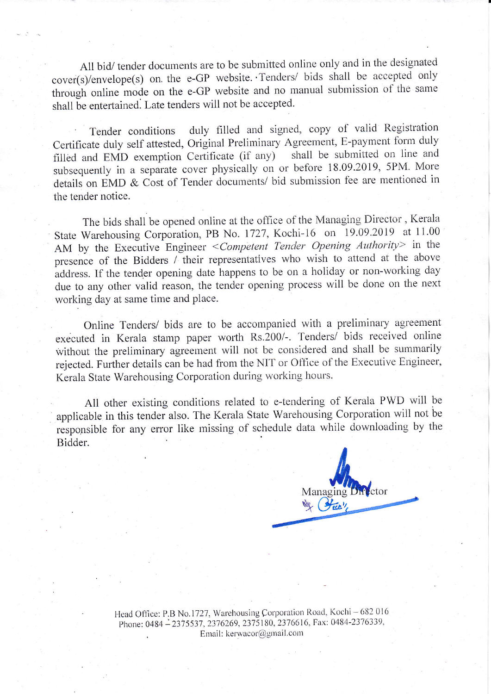All bid/ tender documents are to be submitted online only and in the designated cover(s)/envelope(s) on the e-GP website. Tenders/ bids shall be accepted only through online mode on the e-GP website and no manual submission of the same shall be entertained. Late tenders will not be accepted.

duly filled and signed, copy of valid Registration Tender conditions Certificate duly self attested, Original Preliminary Agreement, E-payment form duly filled and EMD exemption Certificate (if any) shall be submitted on line and subsequently in a separate cover physically on or before 18.09.2019, 5PM. More details on EMD & Cost of Tender documents/ bid submission fee are mentioned in the tender notice.

The bids shall be opened online at the office of the Managing Director, Kerala State Warehousing Corporation, PB No. 1727, Kochi-16 on 19.09.2019 at 11.00 AM by the Executive Engineer < Competent Tender Opening Authority> in the presence of the Bidders / their representatives who wish to attend at the above address. If the tender opening date happens to be on a holiday or non-working day due to any other valid reason, the tender opening process will be done on the next working day at same time and place.

Online Tenders/ bids are to be accompanied with a preliminary agreement executed in Kerala stamp paper worth Rs.200/-. Tenders/ bids received online without the preliminary agreement will not be considered and shall be summarily rejected. Further details can be had from the NIT or Office of the Executive Engineer, Kerala State Warehousing Corporation during working hours.

All other existing conditions related to e-tendering of Kerala PWD will be applicable in this tender also. The Kerala State Warehousing Corporation will not be responsible for any error like missing of schedule data while downloading by the Bidder.

Managing Director We Store

Head Office: P.B No.1727, Warehousing Corporation Road, Kochi - 682 016 Phone: 0484-2375537, 2376269, 2375180, 2376616, Fax: 0484-2376339, Email: kerwacor@gmail.com